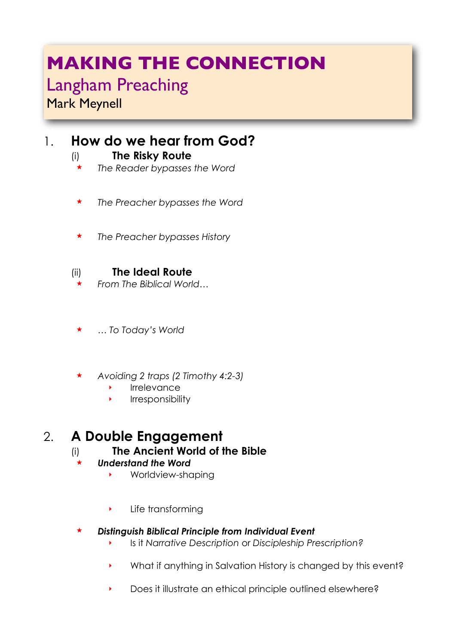# **MAKING THE CONNECTION**

# Langham Preaching

Mark Meynell

# 1. **How do we hear from God?**

- (i) **The Risky Route** 
	- ! *The Reader bypasses the Word*
	- ! *The Preacher bypasses the Word*
- ! *The Preacher bypasses History*

### (ii) **The Ideal Route**

- ! *From The Biblical World…*
- ! *… To Today's World*
- ! *Avoiding 2 traps (2 Timothy 4:2-3)*
	- **Irrelevance**
	- ‣ Irresponsibility

# 2. **A Double Engagement**

(i) **The Ancient World of the Bible** 

#### ! *Understand the Word*

- ‣ Worldview-shaping
- ‣ Life transforming

#### ! *Distinguish Biblical Principle from Individual Event*

- ‣ Is it *Narrative Description* or *Discipleship Prescription?*
- ‣ What if anything in Salvation History is changed by this event?
- ‣ Does it illustrate an ethical principle outlined elsewhere?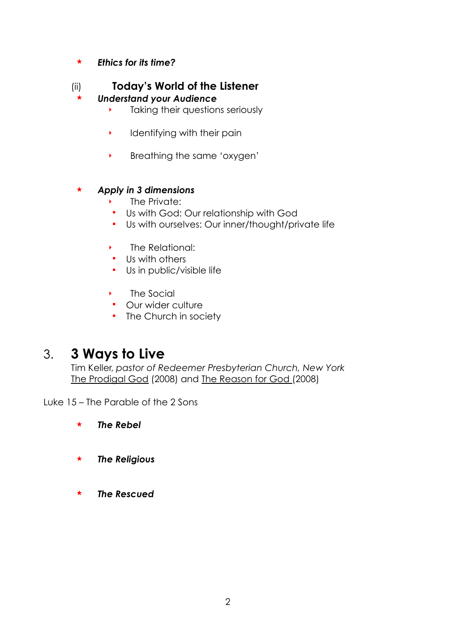! *Ethics for its time?*

#### (ii) **Today's World of the Listener**

#### ! *Understand your Audience*

- ‣ Taking their questions seriously
- $\rightarrow$  Identifying with their pain
- ‣ Breathing the same 'oxygen'

#### ! *Apply in 3 dimensions*

- The Private:
- " Us with God: Our relationship with God
- " Us with ourselves: Our inner/thought/private life
- ‣ The Relational:
- " Us with others
- " Us in public/visible life
- ‣ The Social
- **•** Our wider culture
- The Church in society

# 3. **3 Ways to Live**

Tim Keller, *pastor of Redeemer Presbyterian Church, New York* The Prodigal God (2008) and The Reason for God (2008)

Luke 15 – The Parable of the 2 Sons

! *The Rebel*

- ! *The Religious*
- ! *The Rescued*